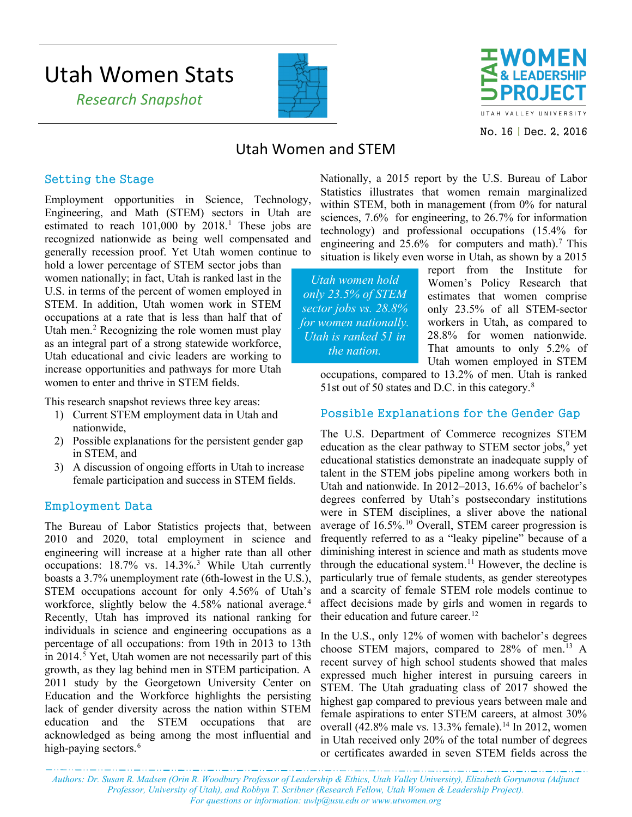# Utah Women Stats

 *Research Snapshot*





No. 16 | Dec. 2, 2016

## Utah Women and STEM

#### Setting the Stage

Employment opportunities in Science, Technology, Engineering, and Math (STEM) sectors in Utah are estimated to reach 101,000 by 2018. [1](#page-2-0) These jobs are recognized nationwide as being well compensated and generally recession proof. Yet Utah women continue to

hold a lower percentage of STEM sector jobs than women nationally; in fact, Utah is ranked last in the U.S. in terms of the percent of women employed in STEM. In addition, Utah women work in STEM occupations at a rate that is less than half that of Utah men. [2](#page-2-1) Recognizing the role women must play as an integral part of a strong statewide workforce, Utah educational and civic leaders are working to increase opportunities and pathways for more Utah women to enter and thrive in STEM fields.

This research snapshot reviews three key areas:

- 1) Current STEM employment data in Utah and nationwide,
- 2) Possible explanations for the persistent gender gap in STEM, and
- 3) A discussion of ongoing efforts in Utah to increase female participation and success in STEM fields.

#### Employment Data

The Bureau of Labor Statistics projects that, between 2010 and 2020, total employment in science and engineering will increase at a higher rate than all other occupations: 18.7% vs. 14.3%.[3](#page-2-2) While Utah currently boasts a 3.7% unemployment rate (6th-lowest in the U.S.), STEM occupations account for only 4.56% of Utah's workforce, slightly below the 4.58% national average. [4](#page-2-3) Recently, Utah has improved its national ranking for individuals in science and engineering occupations as a percentage of all occupations: from 19th in 2013 to 13th in 2014.<sup>[5](#page-2-4)</sup> Yet, Utah women are not necessarily part of this growth, as they lag behind men in STEM participation. A 2011 study by the Georgetown University Center on Education and the Workforce highlights the persisting lack of gender diversity across the nation within STEM education and the STEM occupations that are acknowledged as being among the most influential and high-paying sectors.<sup>[6](#page-2-5)</sup>

Nationally, a 2015 report by the U.S. Bureau of Labor Statistics illustrates that women remain marginalized within STEM, both in management (from 0% for natural sciences, 7.6% for engineering, to 26.7% for information technology) and professional occupations (15.4% for engineering and  $25.6\%$  for computers and math).<sup>7</sup> This situation is likely even worse in Utah, as shown by a 2015

*Utah women hold only 23.5% of STEM sector jobs vs. 28.8% for women nationally. Utah is ranked 51 in the nation.*

report from the Institute for Women's Policy Research that estimates that women comprise only 23.5% of all STEM-sector workers in Utah, as compared to 28.8% for women nationwide. That amounts to only 5.2% of Utah women employed in STEM

occupations, compared to 13.2% of men. Utah is ranked 51st out of 50 states and D.C. in this category.<sup>[8](#page-2-7)</sup>

### Possible Explanations for the Gender Gap

The U.S. Department of Commerce recognizes STEM education as the clear pathway to STEM sector jobs, [9](#page-2-8) yet educational statistics demonstrate an inadequate supply of talent in the STEM jobs pipeline among workers both in Utah and nationwide. In 2012–2013, 16.6% of bachelor's degrees conferred by Utah's postsecondary institutions were in STEM disciplines, a sliver above the national average of 16.5%. [10](#page-2-9) Overall, STEM career progression is frequently referred to as a "leaky pipeline" because of a diminishing interest in science and math as students move through the educational system. [11](#page-2-10) However, the decline is particularly true of female students, as gender stereotypes and a scarcity of female STEM role models continue to affect decisions made by girls and women in regards to their education and future career. [12](#page-2-11)

In the U.S., only 12% of women with bachelor's degrees choose STEM majors, compared to 28% of men.<sup>[13](#page-2-12)</sup> A recent survey of high school students showed that males expressed much higher interest in pursuing careers in STEM. The Utah graduating class of 2017 showed the highest gap compared to previous years between male and female aspirations to enter STEM careers, at almost 30% overall  $(42.8\%$  male vs. 13.3% female).<sup>[14](#page-2-13)</sup> In 2012, women in Utah received only 20% of the total number of degrees or certificates awarded in seven STEM fields across the

*Authors: Dr. Susan R. Madsen (Orin R. Woodbury Professor of Leadership & Ethics, Utah Valley University), Elizabeth Goryunova (Adjunct Professor, University of Utah), and Robbyn T. Scribner (Research Fellow, Utah Women & Leadership Project). For questions or information[: uwlp@usu.edu](mailto:uwlp@usu.edu) or [www.utwomen.org](http://www.utwomen.org/)*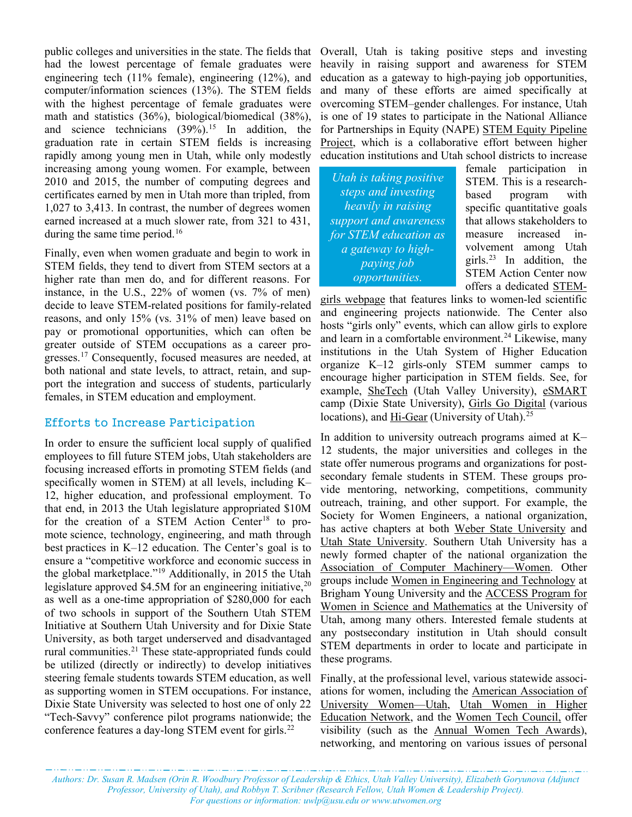public colleges and universities in the state. The fields that Overall, Utah is taking positive steps and investing had the lowest percentage of female graduates were engineering tech (11% female), engineering (12%), and computer/information sciences (13%). The STEM fields with the highest percentage of female graduates were math and statistics (36%), biological/biomedical (38%), and science technicians  $(39\%)$ .<sup>[15](#page-2-14)</sup> In addition, the graduation rate in certain STEM fields is increasing rapidly among young men in Utah, while only modestly increasing among young women. For example, between 2010 and 2015, the number of computing degrees and certificates earned by men in Utah more than tripled, from 1,027 to 3,413. In contrast, the number of degrees women earned increased at a much slower rate, from 321 to 431, during the same time period.<sup>[16](#page-2-15)</sup>

Finally, even when women graduate and begin to work in STEM fields, they tend to divert from STEM sectors at a higher rate than men do, and for different reasons. For instance, in the U.S., 22% of women (vs. 7% of men) decide to leave STEM-related positions for family-related reasons, and only 15% (vs. 31% of men) leave based on pay or promotional opportunities, which can often be greater outside of STEM occupations as a career progresses. [17](#page-2-16) Consequently, focused measures are needed, at both national and state levels, to attract, retain, and support the integration and success of students, particularly females, in STEM education and employment.

#### Efforts to Increase Participation

In order to ensure the sufficient local supply of qualified employees to fill future STEM jobs, Utah stakeholders are focusing increased efforts in promoting STEM fields (and specifically women in STEM) at all levels, including K– 12, higher education, and professional employment. To that end, in 2013 the Utah legislature appropriated \$10M for the creation of a STEM Action Center<sup>18</sup> to promote science, technology, engineering, and math through best practices in K–12 education. The Center's goal is to ensure a "competitive workforce and economic success in the global marketplace."[19](#page-2-18) Additionally, in 2015 the Utah legislature approved \$4.5M for an engineering initiative, $20$ as well as a one-time appropriation of \$280,000 for each of two schools in support of the Southern Utah STEM Initiative at Southern Utah University and for Dixie State University, as both target underserved and disadvantaged rural communities.<sup>[21](#page-2-20)</sup> These state-appropriated funds could be utilized (directly or indirectly) to develop initiatives steering female students towards STEM education, as well as supporting women in STEM occupations. For instance, Dixie State University was selected to host one of only 22 "Tech-Savvy" conference pilot programs nationwide; the conference features a day-long STEM event for girls.<sup>[22](#page-2-21)</sup>

heavily in raising support and awareness for STEM education as a gateway to high-paying job opportunities, and many of these efforts are aimed specifically at overcoming STEM–gender challenges. For instance, Utah is one of 19 states to participate in the National Alliance for Partnerships in Equity (NAPE) [STEM Equity Pipeline](https://napequity.org/stem/)  [Project,](https://napequity.org/stem/) which is a collaborative effort between higher education institutions and Utah school districts to increase

*Utah is taking positive steps and investing heavily in raising support and awareness for STEM education as a gateway to highpaying job opportunities.*

female participation in STEM. This is a researchbased program with specific quantitative goals that allows stakeholders to measure increased involvement among Utah girls.<sup>[23](#page-2-22)</sup> In addition, the STEM Action Center now offers a dedicated [STEM-](https://stem.utah.gov/)

[girls webpage](https://stem.utah.gov/) that features links to women-led scientific and engineering projects nationwide. The Center also hosts "girls only" events, which can allow girls to explore and learn in a comfortable environment.<sup>[24](#page-2-23)</sup> Likewise, many institutions in the Utah System of Higher Education organize K–12 girls-only STEM summer camps to encourage higher participation in STEM fields. See, for example, [SheTech](http://shetechexplorer.com/) (Utah Valley University), [eSMART](http://aauw-stgeorge.org/esmart/) camp (Dixie State University), [Girls Go Digital](https://www.girlsgodigital.org/) (various locations), and [Hi-Gear](https://www.coe.utah.edu/2016/06/17/shifting-into-hi-gear/) (University of Utah).<sup>[25](#page-2-24)</sup>

In addition to university outreach programs aimed at K– 12 students, the major universities and colleges in the state offer numerous programs and organizations for postsecondary female students in STEM. These groups provide mentoring, networking, competitions, community outreach, training, and other support. For example, the Society for Women Engineers, a national organization, has active chapters at both [Weber State University](https://www.facebook.com/WSUSWE?pnref=story) and [Utah State University.](https://engineering.usu.edu/cee/students/organizations/swe) Southern Utah University has a newly formed chapter of the national organization the [Association of Computer Machinery—Women.](https://www.suu.edu/news/2016/08/google-women-in-computing-national-center-women-in-technology.html) Other groups include [Women in Engineering and Technology](https://www.et.byu.edu/women-in-engineering) at Brigham Young University and the [ACCESS Program for](http://science.utah.edu/students/access.php)  [Women in Science and Mathematics](http://science.utah.edu/students/access.php) at the University of Utah, among many others. Interested female students at any postsecondary institution in Utah should consult STEM departments in order to locate and participate in these programs.

Finally, at the professional level, various statewide associations for women, including the [American Association of](http://aauw-ut.aauw.net/)  [University Women—Utah,](http://aauw-ut.aauw.net/) [Utah Women in Higher](http://www.uwhen.org/)  [Education Network,](http://www.uwhen.org/) and the [Women Tech Council,](http://www.womentechcouncil.org/) offer visibility (such as the [Annual Women Tech Awards\)](http://www.womentechcouncil.org/events/wta_2016.aspx), networking, and mentoring on various issues of personal

*Authors: Dr. Susan R. Madsen (Orin R. Woodbury Professor of Leadership & Ethics, Utah Valley University), Elizabeth Goryunova (Adjunct Professor, University of Utah), and Robbyn T. Scribner (Research Fellow, Utah Women & Leadership Project). For questions or information[: uwlp@usu.edu](mailto:uwlp@usu.edu) or [www.utwomen.org](http://www.utwomen.org/)*